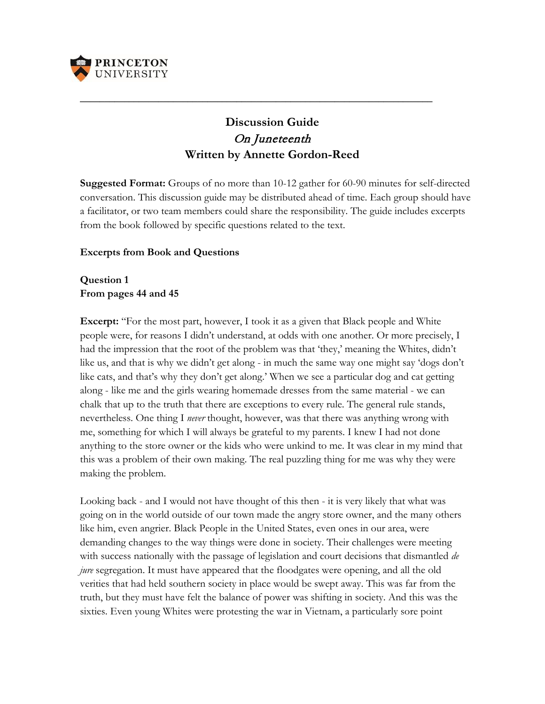

# **Discussion Guide**  On Juneteenth **Written by Annette Gordon-Reed**

**\_\_\_\_\_\_\_\_\_\_\_\_\_\_\_\_\_\_\_\_\_\_\_\_\_\_\_\_\_\_\_\_\_\_\_\_\_\_\_\_\_\_\_\_\_\_\_\_\_\_\_\_\_\_\_\_\_\_\_\_\_\_\_\_\_\_\_\_\_\_\_\_**

**Suggested Format:** Groups of no more than 10-12 gather for 60-90 minutes for self-directed conversation. This discussion guide may be distributed ahead of time. Each group should have a facilitator, or two team members could share the responsibility. The guide includes excerpts from the book followed by specific questions related to the text.

#### **Excerpts from Book and Questions**

**Question 1 From pages 44 and 45**

**Excerpt:** "For the most part, however, I took it as a given that Black people and White people were, for reasons I didn't understand, at odds with one another. Or more precisely, I had the impression that the root of the problem was that 'they,' meaning the Whites, didn't like us, and that is why we didn't get along - in much the same way one might say 'dogs don't like cats, and that's why they don't get along.' When we see a particular dog and cat getting along - like me and the girls wearing homemade dresses from the same material - we can chalk that up to the truth that there are exceptions to every rule. The general rule stands, nevertheless. One thing I *never* thought, however, was that there was anything wrong with me, something for which I will always be grateful to my parents. I knew I had not done anything to the store owner or the kids who were unkind to me. It was clear in my mind that this was a problem of their own making. The real puzzling thing for me was why they were making the problem.

Looking back - and I would not have thought of this then - it is very likely that what was going on in the world outside of our town made the angry store owner, and the many others like him, even angrier. Black People in the United States, even ones in our area, were demanding changes to the way things were done in society. Their challenges were meeting with success nationally with the passage of legislation and court decisions that dismantled *de jure* segregation. It must have appeared that the floodgates were opening, and all the old verities that had held southern society in place would be swept away. This was far from the truth, but they must have felt the balance of power was shifting in society. And this was the sixties. Even young Whites were protesting the war in Vietnam, a particularly sore point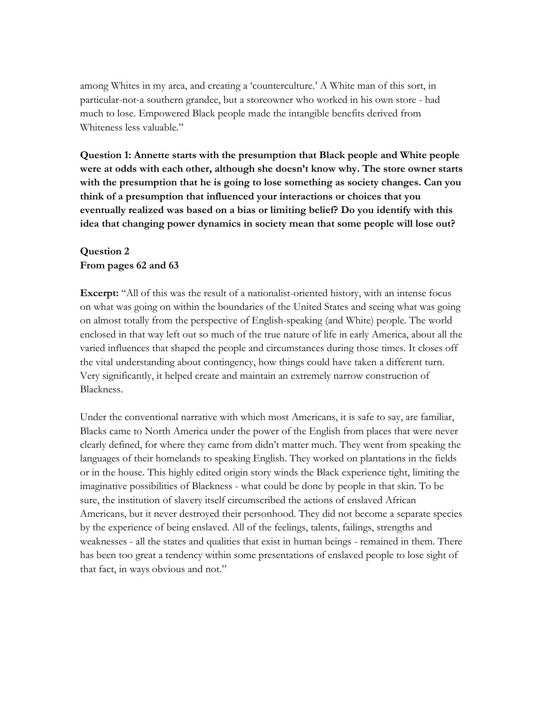among Whites in my area, and creating a 'counterculture.' A White man of this sort, in particular-not-a southern grandee, but a storeowner who worked in his own store - had much to lose. Empowered Black people made the intangible benefits derived from Whiteness less valuable."

**Question 1: Annette starts with the presumption that Black people and White people were at odds with each other, although she doesn't know why. The store owner starts with the presumption that he is going to lose something as society changes. Can you think of a presumption that influenced your interactions or choices that you eventually realized was based on a bias or limiting belief? Do you identify with this idea that changing power dynamics in society mean that some people will lose out?** 

## **Question 2 From pages 62 and 63**

**Excerpt:** "All of this was the result of a nationalist-oriented history, with an intense focus on what was going on within the boundaries of the United States and seeing what was going on almost totally from the perspective of English-speaking (and White) people. The world enclosed in that way left out so much of the true nature of life in early America, about all the varied influences that shaped the people and circumstances during those times. It closes off the vital understanding about contingency, how things could have taken a different turn. Very significantly, it helped create and maintain an extremely narrow construction of Blackness.

Under the conventional narrative with which most Americans, it is safe to say, are familiar, Blacks came to North America under the power of the English from places that were never clearly defined, for where they came from didn't matter much. They went from speaking the languages of their homelands to speaking English. They worked on plantations in the fields or in the house. This highly edited origin story winds the Black experience tight, limiting the imaginative possibilities of Blackness - what could be done by people in that skin. To be sure, the institution of slavery itself circumscribed the actions of enslaved African Americans, but it never destroyed their personhood. They did not become a separate species by the experience of being enslaved. All of the feelings, talents, failings, strengths and weaknesses - all the states and qualities that exist in human beings - remained in them. There has been too great a tendency within some presentations of enslaved people to lose sight of that fact, in ways obvious and not."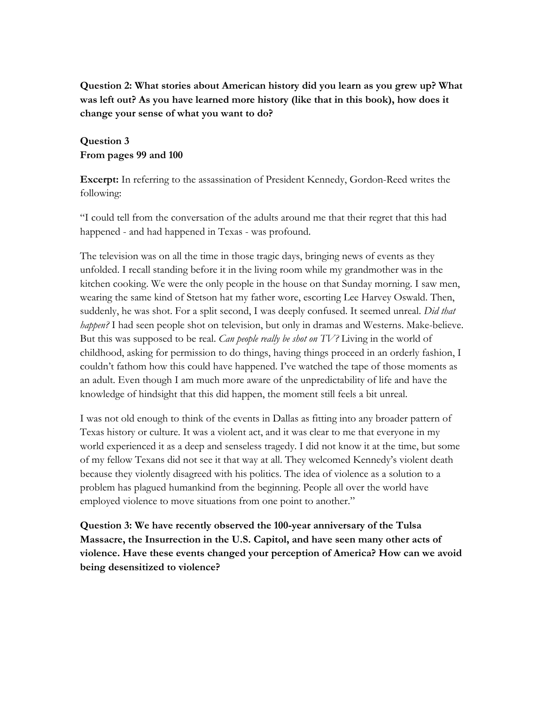**Question 2: What stories about American history did you learn as you grew up? What was left out? As you have learned more history (like that in this book), how does it change your sense of what you want to do?**

## **Question 3 From pages 99 and 100**

**Excerpt:** In referring to the assassination of President Kennedy, Gordon-Reed writes the following:

"I could tell from the conversation of the adults around me that their regret that this had happened - and had happened in Texas - was profound.

The television was on all the time in those tragic days, bringing news of events as they unfolded. I recall standing before it in the living room while my grandmother was in the kitchen cooking. We were the only people in the house on that Sunday morning. I saw men, wearing the same kind of Stetson hat my father wore, escorting Lee Harvey Oswald. Then, suddenly, he was shot. For a split second, I was deeply confused. It seemed unreal. *Did that happen?* I had seen people shot on television, but only in dramas and Westerns. Make-believe. But this was supposed to be real. *Can people really be shot on TV?* Living in the world of childhood, asking for permission to do things, having things proceed in an orderly fashion, I couldn't fathom how this could have happened. I've watched the tape of those moments as an adult. Even though I am much more aware of the unpredictability of life and have the knowledge of hindsight that this did happen, the moment still feels a bit unreal.

I was not old enough to think of the events in Dallas as fitting into any broader pattern of Texas history or culture. It was a violent act, and it was clear to me that everyone in my world experienced it as a deep and senseless tragedy. I did not know it at the time, but some of my fellow Texans did not see it that way at all. They welcomed Kennedy's violent death because they violently disagreed with his politics. The idea of violence as a solution to a problem has plagued humankind from the beginning. People all over the world have employed violence to move situations from one point to another."

**Question 3: We have recently observed the 100-year anniversary of the Tulsa Massacre, the Insurrection in the U.S. Capitol, and have seen many other acts of violence. Have these events changed your perception of America? How can we avoid being desensitized to violence?**